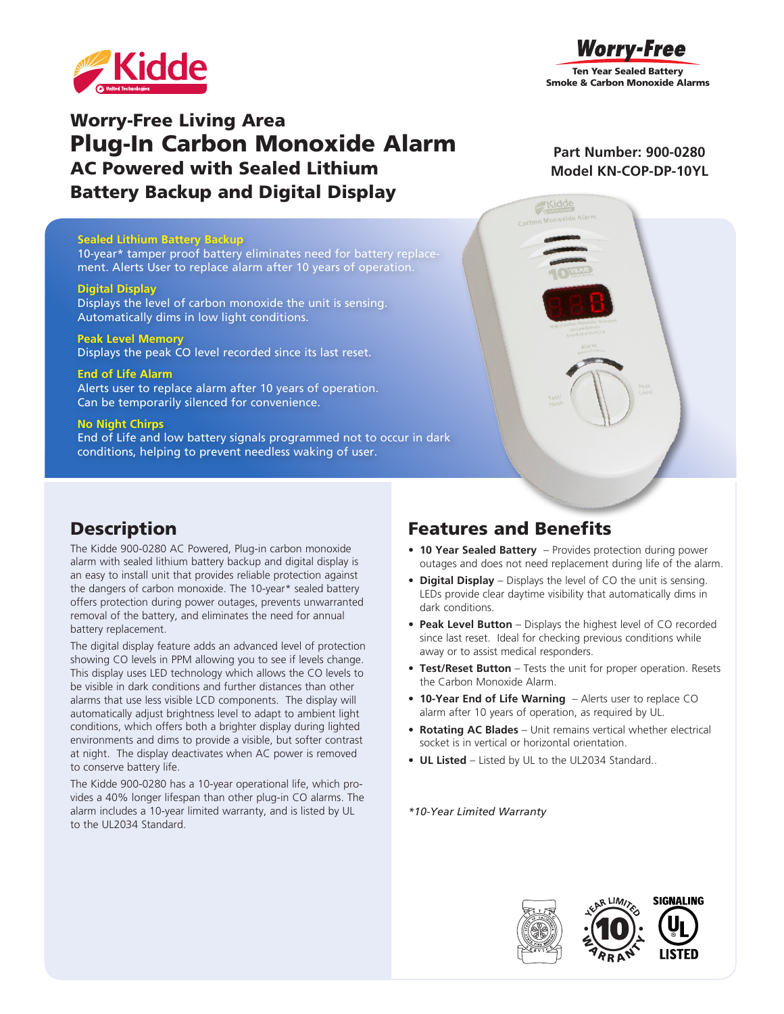



# Worry-Free Living Area Plug-In Carbon Monoxide Alarm AC Powered with Sealed Lithium Battery Backup and Digital Display

#### **Sealed Lithium Battery Backup**

10-year\* tamper proof battery eliminates need for battery replacement. Alerts User to replace alarm after 10 years of operation.

#### **Digital Display**

Displays the level of carbon monoxide the unit is sensing. Automatically dims in low light conditions.

#### **Peak Level Memory**

Displays the peak CO level recorded since its last reset.

#### **End of Life Alarm**

Alerts user to replace alarm after 10 years of operation. Can be temporarily silenced for convenience.

#### **No Night Chirps**

End of Life and low battery signals programmed not to occur in dark conditions, helping to prevent needless waking of user.

### **Part Number: 900-0280 Model KN-COP-DP-10YL**

### Features and Benefits

- **• 10 Year Sealed Battery**  Provides protection during power outages and does not need replacement during life of the alarm.
- **• Digital Display** Displays the level of CO the unit is sensing. LEDs provide clear daytime visibility that automatically dims in dark conditions.
- **• Peak Level Button** Displays the highest level of CO recorded since last reset. Ideal for checking previous conditions while away or to assist medical responders.
- **• Test/Reset Button** Tests the unit for proper operation. Resets the Carbon Monoxide Alarm.
- **• 10-Year End of Life Warning**  Alerts user to replace CO alarm after 10 years of operation, as required by UL.
- **• Rotating AC Blades** Unit remains vertical whether electrical socket is in vertical or horizontal orientation.
- **• UL Listed**  Listed by UL to the UL2034 Standard..

*\*10-Year Limited Warranty*





## **Description**

The Kidde 900-0280 AC Powered, Plug-in carbon monoxide alarm with sealed lithium battery backup and digital display is an easy to install unit that provides reliable protection against the dangers of carbon monoxide. The 10-year\* sealed battery offers protection during power outages, prevents unwarranted removal of the battery, and eliminates the need for annual battery replacement.

The digital display feature adds an advanced level of protection showing CO levels in PPM allowing you to see if levels change. This display uses LED technology which allows the CO levels to be visible in dark conditions and further distances than other alarms that use less visible LCD components. The display will automatically adjust brightness level to adapt to ambient light conditions, which offers both a brighter display during lighted environments and dims to provide a visible, but softer contrast at night. The display deactivates when AC power is removed to conserve battery life.

The Kidde 900-0280 has a 10-year operational life, which provides a 40% longer lifespan than other plug-in CO alarms. The alarm includes a 10-year limited warranty, and is listed by UL to the UL2034 Standard.